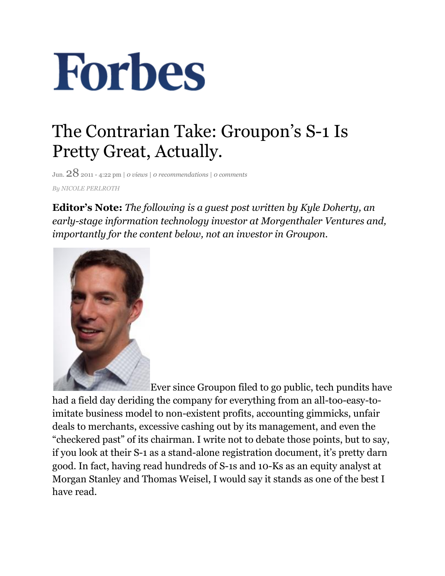# Forbes

## The Contrarian Take: Groupon's S-1 Is Pretty Great, Actually.

Jun. 282011 - 4:22 pm | *0 views* <sup>|</sup>*0 recommendations* <sup>|</sup>*0 comments*

*By NICOLE PERLROTH*

**Editor's Note:** *The following is a guest post written by Kyle Doherty, an early-stage information technology investor at Morgenthaler Ventures and, importantly for the content below, not an investor in Groupon.* 



Ever since Groupon filed to go public, tech pundits have

had a field day deriding the company for everything from an all-too-easy-toimitate business model to non-existent profits, accounting gimmicks, unfair deals to merchants, excessive cashing out by its management, and even the "checkered past" of its chairman. I write not to debate those points, but to say, if you look at their S-1 as a stand-alone registration document, it's pretty darn good. In fact, having read hundreds of S-1s and 10-Ks as an equity analyst at Morgan Stanley and Thomas Weisel, I would say it stands as one of the best I have read.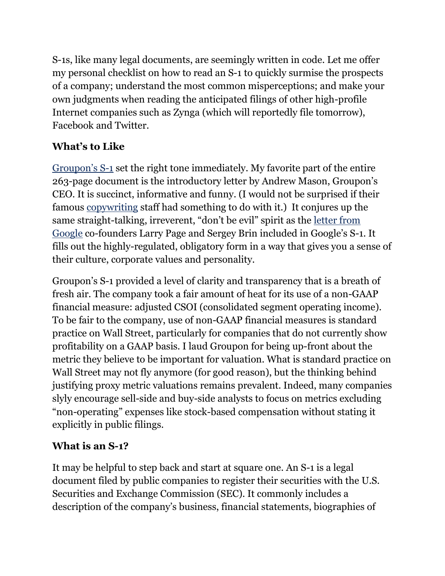S-1s, like many legal documents, are seemingly written in code. Let me offer my personal checklist on how to read an S-1 to quickly surmise the prospects of a company; understand the most common misperceptions; and make your own judgments when reading the anticipated filings of other high-profile Internet companies such as Zynga (which will reportedly file tomorrow), Facebook and Twitter.

#### **What's to Like**

Groupon's S-1 set the right tone immediately. My favorite part of the entire 263-page document is the introductory letter by Andrew Mason, Groupon's CEO. It is succinct, informative and funny. (I would not be surprised if their famous copywriting staff had something to do with it.) It conjures up the same straight-talking, irreverent, "don't be evil" spirit as the letter from Google co-founders Larry Page and Sergey Brin included in Google's S-1. It fills out the highly-regulated, obligatory form in a way that gives you a sense of their culture, corporate values and personality.

Groupon's S-1 provided a level of clarity and transparency that is a breath of fresh air. The company took a fair amount of heat for its use of a non-GAAP financial measure: adjusted CSOI (consolidated segment operating income). To be fair to the company, use of non-GAAP financial measures is standard practice on Wall Street, particularly for companies that do not currently show profitability on a GAAP basis. I laud Groupon for being up-front about the metric they believe to be important for valuation. What is standard practice on Wall Street may not fly anymore (for good reason), but the thinking behind justifying proxy metric valuations remains prevalent. Indeed, many companies slyly encourage sell-side and buy-side analysts to focus on metrics excluding "non-operating" expenses like stock-based compensation without stating it explicitly in public filings.

#### **What is an S-1?**

It may be helpful to step back and start at square one. An S-1 is a legal document filed by public companies to register their securities with the U.S. Securities and Exchange Commission (SEC). It commonly includes a description of the company's business, financial statements, biographies of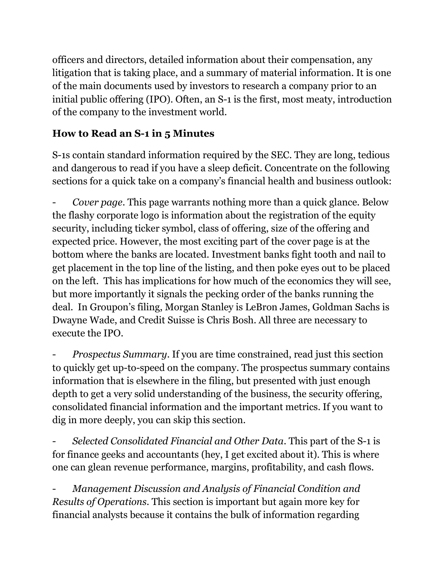officers and directors, detailed information about their compensation, any litigation that is taking place, and a summary of material information. It is one of the main documents used by investors to research a company prior to an initial public offering (IPO). Often, an S-1 is the first, most meaty, introduction of the company to the investment world.

### **How to Read an S-1 in 5 Minutes**

S-1s contain standard information required by the SEC. They are long, tedious and dangerous to read if you have a sleep deficit. Concentrate on the following sections for a quick take on a company's financial health and business outlook:

- *Cover page*. This page warrants nothing more than a quick glance. Below the flashy corporate logo is information about the registration of the equity security, including ticker symbol, class of offering, size of the offering and expected price. However, the most exciting part of the cover page is at the bottom where the banks are located. Investment banks fight tooth and nail to get placement in the top line of the listing, and then poke eyes out to be placed on the left. This has implications for how much of the economics they will see, but more importantly it signals the pecking order of the banks running the deal. In Groupon's filing, Morgan Stanley is LeBron James, Goldman Sachs is Dwayne Wade, and Credit Suisse is Chris Bosh. All three are necessary to execute the IPO.

- *Prospectus Summary*. If you are time constrained, read just this section to quickly get up-to-speed on the company. The prospectus summary contains information that is elsewhere in the filing, but presented with just enough depth to get a very solid understanding of the business, the security offering, consolidated financial information and the important metrics. If you want to dig in more deeply, you can skip this section.

- *Selected Consolidated Financial and Other Data*. This part of the S-1 is for finance geeks and accountants (hey, I get excited about it). This is where one can glean revenue performance, margins, profitability, and cash flows.

- *Management Discussion and Analysis of Financial Condition and Results of Operations.* This section is important but again more key for financial analysts because it contains the bulk of information regarding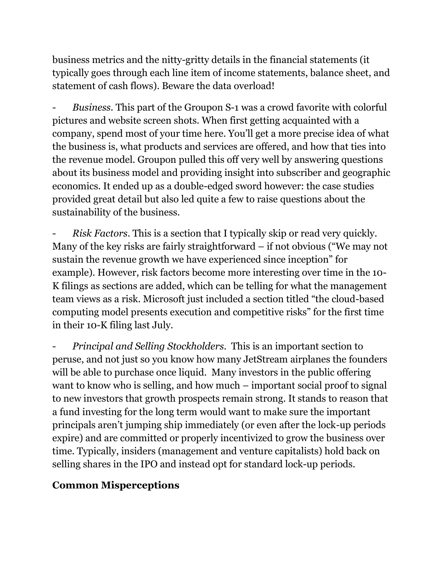business metrics and the nitty-gritty details in the financial statements (it typically goes through each line item of income statements, balance sheet, and statement of cash flows). Beware the data overload!

- *Business.* This part of the Groupon S-1 was a crowd favorite with colorful pictures and website screen shots. When first getting acquainted with a company, spend most of your time here. You'll get a more precise idea of what the business is, what products and services are offered, and how that ties into the revenue model. Groupon pulled this off very well by answering questions about its business model and providing insight into subscriber and geographic economics. It ended up as a double-edged sword however: the case studies provided great detail but also led quite a few to raise questions about the sustainability of the business.

*Risk Factors.* This is a section that I typically skip or read very quickly. Many of the key risks are fairly straightforward – if not obvious ("We may not sustain the revenue growth we have experienced since inception" for example). However, risk factors become more interesting over time in the 10- K filings as sections are added, which can be telling for what the management team views as a risk. Microsoft just included a section titled "the cloud-based computing model presents execution and competitive risks" for the first time in their 10-K filing last July.

- *Principal and Selling Stockholders*. This is an important section to peruse, and not just so you know how many JetStream airplanes the founders will be able to purchase once liquid. Many investors in the public offering want to know who is selling, and how much – important social proof to signal to new investors that growth prospects remain strong. It stands to reason that a fund investing for the long term would want to make sure the important principals aren't jumping ship immediately (or even after the lock-up periods expire) and are committed or properly incentivized to grow the business over time. Typically, insiders (management and venture capitalists) hold back on selling shares in the IPO and instead opt for standard lock-up periods.

#### **Common Misperceptions**